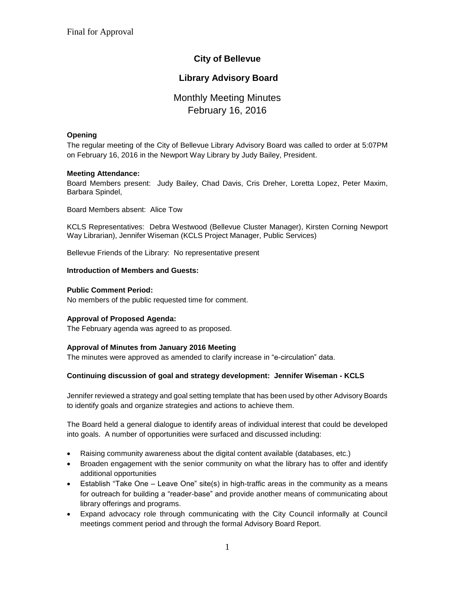# **City of Bellevue**

# **Library Advisory Board**

# Monthly Meeting Minutes February 16, 2016

#### **Opening**

The regular meeting of the City of Bellevue Library Advisory Board was called to order at 5:07PM on February 16, 2016 in the Newport Way Library by Judy Bailey, President.

#### **Meeting Attendance:**

Board Members present: Judy Bailey, Chad Davis, Cris Dreher, Loretta Lopez, Peter Maxim, Barbara Spindel,

Board Members absent: Alice Tow

KCLS Representatives: Debra Westwood (Bellevue Cluster Manager), Kirsten Corning Newport Way Librarian), Jennifer Wiseman (KCLS Project Manager, Public Services)

Bellevue Friends of the Library: No representative present

#### **Introduction of Members and Guests:**

#### **Public Comment Period:**

No members of the public requested time for comment.

## **Approval of Proposed Agenda:**

The February agenda was agreed to as proposed.

## **Approval of Minutes from January 2016 Meeting**

The minutes were approved as amended to clarify increase in "e-circulation" data.

## **Continuing discussion of goal and strategy development: Jennifer Wiseman - KCLS**

Jennifer reviewed a strategy and goal setting template that has been used by other Advisory Boards to identify goals and organize strategies and actions to achieve them.

The Board held a general dialogue to identify areas of individual interest that could be developed into goals. A number of opportunities were surfaced and discussed including:

- Raising community awareness about the digital content available (databases, etc.)
- Broaden engagement with the senior community on what the library has to offer and identify additional opportunities
- Establish "Take One Leave One" site(s) in high-traffic areas in the community as a means for outreach for building a "reader-base" and provide another means of communicating about library offerings and programs.
- Expand advocacy role through communicating with the City Council informally at Council meetings comment period and through the formal Advisory Board Report.